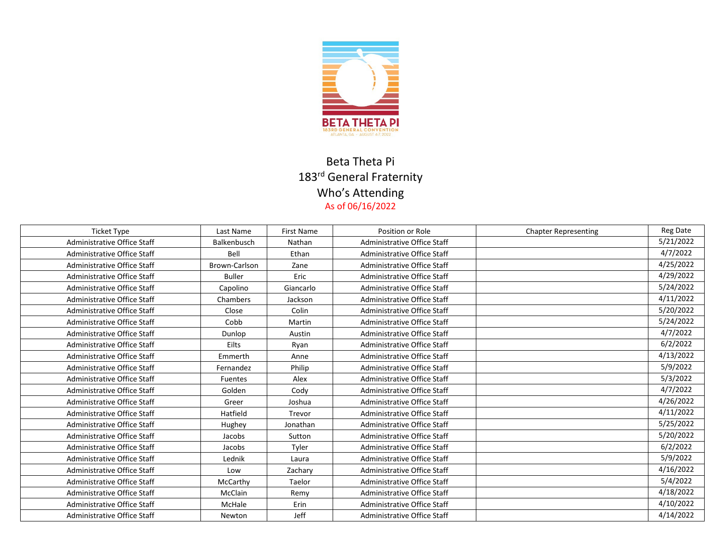

## Beta Theta Pi 183<sup>rd</sup> General Fraternity Who's Attending As of 06/16/2022

| <b>Ticket Type</b>          | Last Name     | <b>First Name</b> | Position or Role            | <b>Chapter Representing</b> | <b>Reg Date</b> |
|-----------------------------|---------------|-------------------|-----------------------------|-----------------------------|-----------------|
| Administrative Office Staff | Balkenbusch   | Nathan            | Administrative Office Staff |                             | 5/21/2022       |
| Administrative Office Staff | Bell          | Ethan             | Administrative Office Staff |                             | 4/7/2022        |
| Administrative Office Staff | Brown-Carlson | Zane              | Administrative Office Staff |                             | 4/25/2022       |
| Administrative Office Staff | <b>Buller</b> | Eric              | Administrative Office Staff |                             | 4/29/2022       |
| Administrative Office Staff | Capolino      | Giancarlo         | Administrative Office Staff |                             | 5/24/2022       |
| Administrative Office Staff | Chambers      | Jackson           | Administrative Office Staff |                             | 4/11/2022       |
| Administrative Office Staff | Close         | Colin             | Administrative Office Staff |                             | 5/20/2022       |
| Administrative Office Staff | Cobb          | Martin            | Administrative Office Staff |                             | 5/24/2022       |
| Administrative Office Staff | Dunlop        | Austin            | Administrative Office Staff |                             | 4/7/2022        |
| Administrative Office Staff | Eilts         | Ryan              | Administrative Office Staff |                             | 6/2/2022        |
| Administrative Office Staff | Emmerth       | Anne              | Administrative Office Staff |                             | 4/13/2022       |
| Administrative Office Staff | Fernandez     | Philip            | Administrative Office Staff |                             | 5/9/2022        |
| Administrative Office Staff | Fuentes       | Alex              | Administrative Office Staff |                             | 5/3/2022        |
| Administrative Office Staff | Golden        | Cody              | Administrative Office Staff |                             | 4/7/2022        |
| Administrative Office Staff | Greer         | Joshua            | Administrative Office Staff |                             | 4/26/2022       |
| Administrative Office Staff | Hatfield      | Trevor            | Administrative Office Staff |                             | 4/11/2022       |
| Administrative Office Staff | Hughey        | Jonathan          | Administrative Office Staff |                             | 5/25/2022       |
| Administrative Office Staff | Jacobs        | Sutton            | Administrative Office Staff |                             | 5/20/2022       |
| Administrative Office Staff | Jacobs        | Tyler             | Administrative Office Staff |                             | 6/2/2022        |
| Administrative Office Staff | Lednik        | Laura             | Administrative Office Staff |                             | 5/9/2022        |
| Administrative Office Staff | Low           | Zachary           | Administrative Office Staff |                             | 4/16/2022       |
| Administrative Office Staff | McCarthy      | Taelor            | Administrative Office Staff |                             | 5/4/2022        |
| Administrative Office Staff | McClain       | Remy              | Administrative Office Staff |                             | 4/18/2022       |
| Administrative Office Staff | McHale        | Erin              | Administrative Office Staff |                             | 4/10/2022       |
| Administrative Office Staff | Newton        | Jeff              | Administrative Office Staff |                             | 4/14/2022       |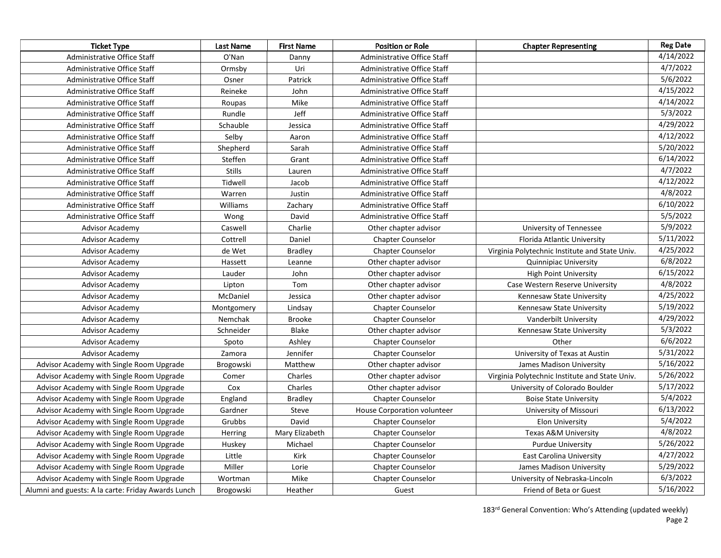| <b>Ticket Type</b>                                 | <b>Last Name</b> | <b>First Name</b> | <b>Position or Role</b>            | <b>Chapter Representing</b>                    | <b>Reg Date</b> |
|----------------------------------------------------|------------------|-------------------|------------------------------------|------------------------------------------------|-----------------|
| Administrative Office Staff                        | O'Nan            | Danny             | Administrative Office Staff        |                                                | 4/14/2022       |
| Administrative Office Staff                        | Ormsby           | Uri               | Administrative Office Staff        |                                                | 4/7/2022        |
| Administrative Office Staff                        | Osner            | Patrick           | Administrative Office Staff        |                                                | 5/6/2022        |
| Administrative Office Staff                        | Reineke          | John              | Administrative Office Staff        |                                                | 4/15/2022       |
| Administrative Office Staff                        | Roupas           | Mike              | Administrative Office Staff        |                                                | 4/14/2022       |
| Administrative Office Staff                        | Rundle           | Jeff              | Administrative Office Staff        |                                                | 5/3/2022        |
| Administrative Office Staff                        | Schauble         | Jessica           | <b>Administrative Office Staff</b> |                                                | 4/29/2022       |
| Administrative Office Staff                        | Selby            | Aaron             | Administrative Office Staff        |                                                | 4/12/2022       |
| Administrative Office Staff                        | Shepherd         | Sarah             | Administrative Office Staff        |                                                | 5/20/2022       |
| Administrative Office Staff                        | Steffen          | Grant             | Administrative Office Staff        |                                                | 6/14/2022       |
| Administrative Office Staff                        | <b>Stills</b>    | Lauren            | Administrative Office Staff        |                                                | 4/7/2022        |
| Administrative Office Staff                        | Tidwell          | Jacob             | Administrative Office Staff        |                                                | 4/12/2022       |
| Administrative Office Staff                        | Warren           | Justin            | Administrative Office Staff        |                                                | 4/8/2022        |
| Administrative Office Staff                        | Williams         | Zachary           | Administrative Office Staff        |                                                | 6/10/2022       |
| Administrative Office Staff                        | Wong             | David             | Administrative Office Staff        |                                                | 5/5/2022        |
| Advisor Academy                                    | Caswell          | Charlie           | Other chapter advisor              | University of Tennessee                        | 5/9/2022        |
| Advisor Academy                                    | Cottrell         | Daniel            | <b>Chapter Counselor</b>           | Florida Atlantic University                    | 5/11/2022       |
| <b>Advisor Academy</b>                             | de Wet           | <b>Bradley</b>    | <b>Chapter Counselor</b>           | Virginia Polytechnic Institute and State Univ. | 4/25/2022       |
| Advisor Academy                                    | Hassett          | Leanne            | Other chapter advisor              | <b>Quinnipiac University</b>                   | 6/8/2022        |
| <b>Advisor Academy</b>                             | Lauder           | John              | Other chapter advisor              | <b>High Point University</b>                   | 6/15/2022       |
| Advisor Academy                                    | Lipton           | Tom               | Other chapter advisor              | Case Western Reserve University                | 4/8/2022        |
| Advisor Academy                                    | McDaniel         | Jessica           | Other chapter advisor              | Kennesaw State University                      | 4/25/2022       |
| Advisor Academy                                    | Montgomery       | Lindsay           | <b>Chapter Counselor</b>           | Kennesaw State University                      | 5/19/2022       |
| Advisor Academy                                    | Nemchak          | <b>Brooke</b>     | <b>Chapter Counselor</b>           | Vanderbilt University                          | 4/29/2022       |
| <b>Advisor Academy</b>                             | Schneider        | Blake             | Other chapter advisor              | Kennesaw State University                      | 5/3/2022        |
| <b>Advisor Academy</b>                             | Spoto            | Ashley            | <b>Chapter Counselor</b>           | Other                                          | 6/6/2022        |
| Advisor Academy                                    | Zamora           | Jennifer          | <b>Chapter Counselor</b>           | University of Texas at Austin                  | 5/31/2022       |
| Advisor Academy with Single Room Upgrade           | Brogowski        | Matthew           | Other chapter advisor              | James Madison University                       | 5/16/2022       |
| Advisor Academy with Single Room Upgrade           | Comer            | Charles           | Other chapter advisor              | Virginia Polytechnic Institute and State Univ. | 5/26/2022       |
| Advisor Academy with Single Room Upgrade           | Cox              | Charles           | Other chapter advisor              | University of Colorado Boulder                 | 5/17/2022       |
| Advisor Academy with Single Room Upgrade           | England          | <b>Bradley</b>    | <b>Chapter Counselor</b>           | <b>Boise State University</b>                  | 5/4/2022        |
| Advisor Academy with Single Room Upgrade           | Gardner          | Steve             | House Corporation volunteer        | University of Missouri                         | 6/13/2022       |
| Advisor Academy with Single Room Upgrade           | Grubbs           | David             | <b>Chapter Counselor</b>           | <b>Elon University</b>                         | 5/4/2022        |
| Advisor Academy with Single Room Upgrade           | Herring          | Mary Elizabeth    | <b>Chapter Counselor</b>           | Texas A&M University                           | 4/8/2022        |
| Advisor Academy with Single Room Upgrade           | Huskey           | Michael           | Chapter Counselor                  | <b>Purdue University</b>                       | 5/26/2022       |
| Advisor Academy with Single Room Upgrade           | Little           | Kirk              | <b>Chapter Counselor</b>           | <b>East Carolina University</b>                | 4/27/2022       |
| Advisor Academy with Single Room Upgrade           | Miller           | Lorie             | <b>Chapter Counselor</b>           | James Madison University                       | 5/29/2022       |
| Advisor Academy with Single Room Upgrade           | Wortman          | Mike              | <b>Chapter Counselor</b>           | University of Nebraska-Lincoln                 | 6/3/2022        |
| Alumni and guests: A la carte: Friday Awards Lunch | Brogowski        | Heather           | Guest                              | Friend of Beta or Guest                        | 5/16/2022       |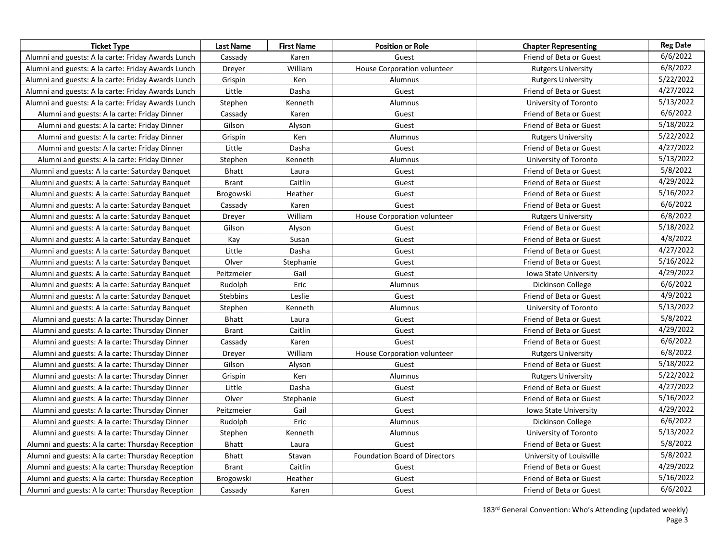| <b>Ticket Type</b>                                 | Last Name       | <b>First Name</b> | <b>Position or Role</b>              | <b>Chapter Representing</b>  | <b>Reg Date</b> |
|----------------------------------------------------|-----------------|-------------------|--------------------------------------|------------------------------|-----------------|
| Alumni and guests: A la carte: Friday Awards Lunch | Cassady         | Karen             | Guest                                | Friend of Beta or Guest      | 6/6/2022        |
| Alumni and guests: A la carte: Friday Awards Lunch | Dreyer          | William           | House Corporation volunteer          | <b>Rutgers University</b>    | 6/8/2022        |
| Alumni and guests: A la carte: Friday Awards Lunch | Grispin         | Ken               | Alumnus                              | <b>Rutgers University</b>    | 5/22/2022       |
| Alumni and guests: A la carte: Friday Awards Lunch | Little          | Dasha             | Guest                                | Friend of Beta or Guest      | 4/27/2022       |
| Alumni and guests: A la carte: Friday Awards Lunch | Stephen         | Kenneth           | Alumnus                              | University of Toronto        | 5/13/2022       |
| Alumni and guests: A la carte: Friday Dinner       | Cassady         | Karen             | Guest                                | Friend of Beta or Guest      | 6/6/2022        |
| Alumni and guests: A la carte: Friday Dinner       | Gilson          | Alyson            | Guest                                | Friend of Beta or Guest      | 5/18/2022       |
| Alumni and guests: A la carte: Friday Dinner       | Grispin         | Ken               | Alumnus                              | <b>Rutgers University</b>    | 5/22/2022       |
| Alumni and guests: A la carte: Friday Dinner       | Little          | Dasha             | Guest                                | Friend of Beta or Guest      | 4/27/2022       |
| Alumni and guests: A la carte: Friday Dinner       | Stephen         | Kenneth           | Alumnus                              | University of Toronto        | 5/13/2022       |
| Alumni and guests: A la carte: Saturday Banquet    | <b>Bhatt</b>    | Laura             | Guest                                | Friend of Beta or Guest      | 5/8/2022        |
| Alumni and guests: A la carte: Saturday Banquet    | <b>Brant</b>    | Caitlin           | Guest                                | Friend of Beta or Guest      | 4/29/2022       |
| Alumni and guests: A la carte: Saturday Banquet    | Brogowski       | Heather           | Guest                                | Friend of Beta or Guest      | 5/16/2022       |
| Alumni and guests: A la carte: Saturday Banquet    | Cassady         | Karen             | Guest                                | Friend of Beta or Guest      | 6/6/2022        |
| Alumni and guests: A la carte: Saturday Banquet    | Dreyer          | William           | House Corporation volunteer          | <b>Rutgers University</b>    | 6/8/2022        |
| Alumni and guests: A la carte: Saturday Banquet    | Gilson          | Alyson            | Guest                                | Friend of Beta or Guest      | 5/18/2022       |
| Alumni and guests: A la carte: Saturday Banquet    | Kay             | Susan             | Guest                                | Friend of Beta or Guest      | 4/8/2022        |
| Alumni and guests: A la carte: Saturday Banquet    | Little          | Dasha             | Guest                                | Friend of Beta or Guest      | 4/27/2022       |
| Alumni and guests: A la carte: Saturday Banquet    | Olver           | Stephanie         | Guest                                | Friend of Beta or Guest      | 5/16/2022       |
| Alumni and guests: A la carte: Saturday Banquet    | Peitzmeier      | Gail              | Guest                                | <b>Iowa State University</b> | 4/29/2022       |
| Alumni and guests: A la carte: Saturday Banquet    | Rudolph         | Eric              | Alumnus                              | Dickinson College            | 6/6/2022        |
| Alumni and guests: A la carte: Saturday Banquet    | <b>Stebbins</b> | Leslie            | Guest                                | Friend of Beta or Guest      | 4/9/2022        |
| Alumni and guests: A la carte: Saturday Banquet    | Stephen         | Kenneth           | Alumnus                              | University of Toronto        | 5/13/2022       |
| Alumni and guests: A la carte: Thursday Dinner     | <b>Bhatt</b>    | Laura             | Guest                                | Friend of Beta or Guest      | 5/8/2022        |
| Alumni and guests: A la carte: Thursday Dinner     | <b>Brant</b>    | Caitlin           | Guest                                | Friend of Beta or Guest      | 4/29/2022       |
| Alumni and guests: A la carte: Thursday Dinner     | Cassady         | Karen             | Guest                                | Friend of Beta or Guest      | 6/6/2022        |
| Alumni and guests: A la carte: Thursday Dinner     | Dreyer          | William           | House Corporation volunteer          | <b>Rutgers University</b>    | 6/8/2022        |
| Alumni and guests: A la carte: Thursday Dinner     | Gilson          | Alyson            | Guest                                | Friend of Beta or Guest      | 5/18/2022       |
| Alumni and guests: A la carte: Thursday Dinner     | Grispin         | Ken               | Alumnus                              | <b>Rutgers University</b>    | 5/22/2022       |
| Alumni and guests: A la carte: Thursday Dinner     | Little          | Dasha             | Guest                                | Friend of Beta or Guest      | 4/27/2022       |
| Alumni and guests: A la carte: Thursday Dinner     | Olver           | Stephanie         | Guest                                | Friend of Beta or Guest      | 5/16/2022       |
| Alumni and guests: A la carte: Thursday Dinner     | Peitzmeier      | Gail              | Guest                                | Iowa State University        | 4/29/2022       |
| Alumni and guests: A la carte: Thursday Dinner     | Rudolph         | Eric              | Alumnus                              | Dickinson College            | 6/6/2022        |
| Alumni and guests: A la carte: Thursday Dinner     | Stephen         | Kenneth           | Alumnus                              | University of Toronto        | 5/13/2022       |
| Alumni and guests: A la carte: Thursday Reception  | <b>Bhatt</b>    | Laura             | Guest                                | Friend of Beta or Guest      | 5/8/2022        |
| Alumni and guests: A la carte: Thursday Reception  | <b>Bhatt</b>    | Stavan            | <b>Foundation Board of Directors</b> | University of Louisville     | 5/8/2022        |
| Alumni and guests: A la carte: Thursday Reception  | <b>Brant</b>    | Caitlin           | Guest                                | Friend of Beta or Guest      | 4/29/2022       |
| Alumni and guests: A la carte: Thursday Reception  | Brogowski       | Heather           | Guest                                | Friend of Beta or Guest      | 5/16/2022       |
| Alumni and guests: A la carte: Thursday Reception  | Cassady         | Karen             | Guest                                | Friend of Beta or Guest      | 6/6/2022        |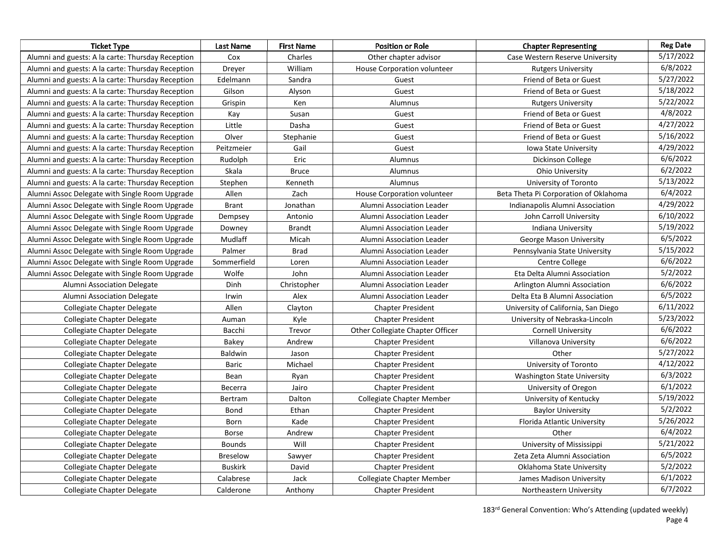| <b>Ticket Type</b>                                | <b>Last Name</b> | <b>First Name</b> | <b>Position or Role</b>            | <b>Chapter Representing</b>           | <b>Reg Date</b> |
|---------------------------------------------------|------------------|-------------------|------------------------------------|---------------------------------------|-----------------|
| Alumni and guests: A la carte: Thursday Reception | Cox              | Charles           | Other chapter advisor              | Case Western Reserve University       | 5/17/2022       |
| Alumni and guests: A la carte: Thursday Reception | Dreyer           | William           | <b>House Corporation volunteer</b> | <b>Rutgers University</b>             | 6/8/2022        |
| Alumni and guests: A la carte: Thursday Reception | Edelmann         | Sandra            | Guest                              | Friend of Beta or Guest               | 5/27/2022       |
| Alumni and guests: A la carte: Thursday Reception | Gilson           | Alyson            | Guest                              | Friend of Beta or Guest               | 5/18/2022       |
| Alumni and guests: A la carte: Thursday Reception | Grispin          | Ken               | Alumnus                            | <b>Rutgers University</b>             | 5/22/2022       |
| Alumni and guests: A la carte: Thursday Reception | Kay              | Susan             | Guest                              | Friend of Beta or Guest               | 4/8/2022        |
| Alumni and guests: A la carte: Thursday Reception | Little           | Dasha             | Guest                              | Friend of Beta or Guest               | 4/27/2022       |
| Alumni and guests: A la carte: Thursday Reception | Olver            | Stephanie         | Guest                              | Friend of Beta or Guest               | 5/16/2022       |
| Alumni and guests: A la carte: Thursday Reception | Peitzmeier       | Gail              | Guest                              | Iowa State University                 | 4/29/2022       |
| Alumni and guests: A la carte: Thursday Reception | Rudolph          | Eric              | Alumnus                            | Dickinson College                     | 6/6/2022        |
| Alumni and guests: A la carte: Thursday Reception | Skala            | <b>Bruce</b>      | Alumnus                            | <b>Ohio University</b>                | 6/2/2022        |
| Alumni and guests: A la carte: Thursday Reception | Stephen          | Kenneth           | Alumnus                            | University of Toronto                 | 5/13/2022       |
| Alumni Assoc Delegate with Single Room Upgrade    | Allen            | Zach              | House Corporation volunteer        | Beta Theta Pi Corporation of Oklahoma | 6/4/2022        |
| Alumni Assoc Delegate with Single Room Upgrade    | <b>Brant</b>     | Jonathan          | Alumni Association Leader          | Indianapolis Alumni Association       | 4/29/2022       |
| Alumni Assoc Delegate with Single Room Upgrade    | Dempsey          | Antonio           | Alumni Association Leader          | John Carroll University               | 6/10/2022       |
| Alumni Assoc Delegate with Single Room Upgrade    | Downey           | <b>Brandt</b>     | Alumni Association Leader          | Indiana University                    | 5/19/2022       |
| Alumni Assoc Delegate with Single Room Upgrade    | Mudlaff          | Micah             | Alumni Association Leader          | George Mason University               | 6/5/2022        |
| Alumni Assoc Delegate with Single Room Upgrade    | Palmer           | <b>Brad</b>       | Alumni Association Leader          | Pennsylvania State University         | 5/15/2022       |
| Alumni Assoc Delegate with Single Room Upgrade    | Sommerfield      | Loren             | Alumni Association Leader          | Centre College                        | 6/6/2022        |
| Alumni Assoc Delegate with Single Room Upgrade    | Wolfe            | John              | Alumni Association Leader          | Eta Delta Alumni Association          | 5/2/2022        |
| Alumni Association Delegate                       | Dinh             | Christopher       | Alumni Association Leader          | Arlington Alumni Association          | 6/6/2022        |
| Alumni Association Delegate                       | Irwin            | Alex              | Alumni Association Leader          | Delta Eta B Alumni Association        | 6/5/2022        |
| Collegiate Chapter Delegate                       | Allen            | Clayton           | <b>Chapter President</b>           | University of California, San Diego   | 6/11/2022       |
| Collegiate Chapter Delegate                       | Auman            | Kyle              | <b>Chapter President</b>           | University of Nebraska-Lincoln        | 5/23/2022       |
| Collegiate Chapter Delegate                       | Bacchi           | Trevor            | Other Collegiate Chapter Officer   | <b>Cornell University</b>             | 6/6/2022        |
| Collegiate Chapter Delegate                       | Bakey            | Andrew            | <b>Chapter President</b>           | Villanova University                  | 6/6/2022        |
| Collegiate Chapter Delegate                       | Baldwin          | Jason             | <b>Chapter President</b>           | Other                                 | 5/27/2022       |
| Collegiate Chapter Delegate                       | Baric            | Michael           | <b>Chapter President</b>           | University of Toronto                 | 4/12/2022       |
| Collegiate Chapter Delegate                       | Bean             | Ryan              | <b>Chapter President</b>           | <b>Washington State University</b>    | 6/3/2022        |
| Collegiate Chapter Delegate                       | Becerra          | Jairo             | <b>Chapter President</b>           | University of Oregon                  | 6/1/2022        |
| Collegiate Chapter Delegate                       | Bertram          | Dalton            | Collegiate Chapter Member          | University of Kentucky                | 5/19/2022       |
| Collegiate Chapter Delegate                       | Bond             | Ethan             | <b>Chapter President</b>           | <b>Baylor University</b>              | 5/2/2022        |
| Collegiate Chapter Delegate                       | Born             | Kade              | <b>Chapter President</b>           | Florida Atlantic University           | 5/26/2022       |
| Collegiate Chapter Delegate                       | Borse            | Andrew            | <b>Chapter President</b>           | Other                                 | 6/4/2022        |
| Collegiate Chapter Delegate                       | <b>Bounds</b>    | Will              | <b>Chapter President</b>           | University of Mississippi             | 5/21/2022       |
| Collegiate Chapter Delegate                       | Breselow         | Sawyer            | <b>Chapter President</b>           | Zeta Zeta Alumni Association          | 6/5/2022        |
| Collegiate Chapter Delegate                       | <b>Buskirk</b>   | David             | <b>Chapter President</b>           | Oklahoma State University             | 5/2/2022        |
| Collegiate Chapter Delegate                       | Calabrese        | Jack              | Collegiate Chapter Member          | James Madison University              | 6/1/2022        |
| Collegiate Chapter Delegate                       | Calderone        | Anthony           | <b>Chapter President</b>           | Northeastern University               | 6/7/2022        |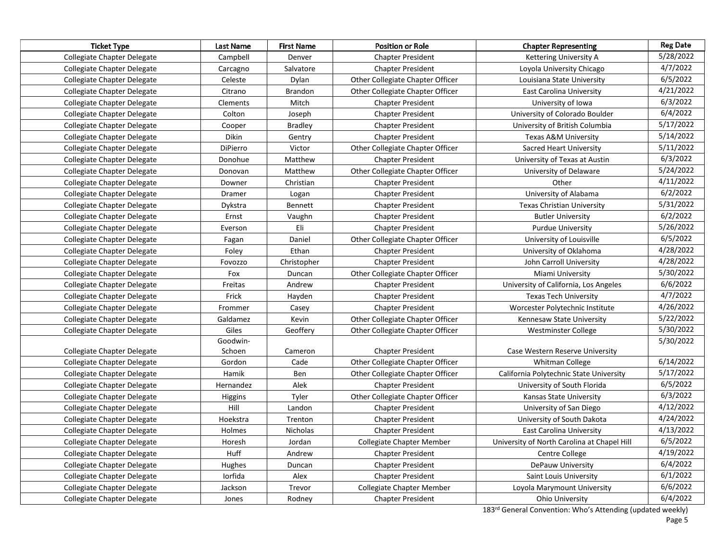| <b>Ticket Type</b>          | Last Name      | <b>First Name</b> | <b>Position or Role</b>          | <b>Chapter Representing</b>                 | <b>Reg Date</b> |
|-----------------------------|----------------|-------------------|----------------------------------|---------------------------------------------|-----------------|
| Collegiate Chapter Delegate | Campbell       | Denver            | <b>Chapter President</b>         | Kettering University A                      | 5/28/2022       |
| Collegiate Chapter Delegate | Carcagno       | Salvatore         | <b>Chapter President</b>         | Loyola University Chicago                   | 4/7/2022        |
| Collegiate Chapter Delegate | Celeste        | Dylan             | Other Collegiate Chapter Officer | Louisiana State University                  | 6/5/2022        |
| Collegiate Chapter Delegate | Citrano        | Brandon           | Other Collegiate Chapter Officer | <b>East Carolina University</b>             | 4/21/2022       |
| Collegiate Chapter Delegate | Clements       | Mitch             | <b>Chapter President</b>         | University of Iowa                          | 6/3/2022        |
| Collegiate Chapter Delegate | Colton         | Joseph            | <b>Chapter President</b>         | University of Colorado Boulder              | 6/4/2022        |
| Collegiate Chapter Delegate | Cooper         | <b>Bradley</b>    | <b>Chapter President</b>         | University of British Columbia              | 5/17/2022       |
| Collegiate Chapter Delegate | <b>Dikin</b>   | Gentry            | <b>Chapter President</b>         | Texas A&M University                        | 5/14/2022       |
| Collegiate Chapter Delegate | DiPierro       | Victor            | Other Collegiate Chapter Officer | Sacred Heart University                     | 5/11/2022       |
| Collegiate Chapter Delegate | Donohue        | Matthew           | <b>Chapter President</b>         | University of Texas at Austin               | 6/3/2022        |
| Collegiate Chapter Delegate | Donovan        | Matthew           | Other Collegiate Chapter Officer | University of Delaware                      | 5/24/2022       |
| Collegiate Chapter Delegate | Downer         | Christian         | <b>Chapter President</b>         | Other                                       | 4/11/2022       |
| Collegiate Chapter Delegate | Dramer         | Logan             | <b>Chapter President</b>         | University of Alabama                       | 6/2/2022        |
| Collegiate Chapter Delegate | Dykstra        | Bennett           | <b>Chapter President</b>         | <b>Texas Christian University</b>           | 5/31/2022       |
| Collegiate Chapter Delegate | Ernst          | Vaughn            | <b>Chapter President</b>         | <b>Butler University</b>                    | 6/2/2022        |
| Collegiate Chapter Delegate | Everson        | Eli               | <b>Chapter President</b>         | Purdue University                           | 5/26/2022       |
| Collegiate Chapter Delegate | Fagan          | Daniel            | Other Collegiate Chapter Officer | University of Louisville                    | 6/5/2022        |
| Collegiate Chapter Delegate | Foley          | Ethan             | <b>Chapter President</b>         | University of Oklahoma                      | 4/28/2022       |
| Collegiate Chapter Delegate | Fovozzo        | Christopher       | <b>Chapter President</b>         | John Carroll University                     | 4/28/2022       |
| Collegiate Chapter Delegate | Fox            | Duncan            | Other Collegiate Chapter Officer | Miami University                            | 5/30/2022       |
| Collegiate Chapter Delegate | Freitas        | Andrew            | <b>Chapter President</b>         | University of California, Los Angeles       | 6/6/2022        |
| Collegiate Chapter Delegate | Frick          | Hayden            | <b>Chapter President</b>         | <b>Texas Tech University</b>                | 4/7/2022        |
| Collegiate Chapter Delegate | Frommer        | Casey             | <b>Chapter President</b>         | Worcester Polytechnic Institute             | 4/26/2022       |
| Collegiate Chapter Delegate | Galdamez       | Kevin             | Other Collegiate Chapter Officer | Kennesaw State University                   | 5/22/2022       |
| Collegiate Chapter Delegate | Giles          | Geoffery          | Other Collegiate Chapter Officer | Westminster College                         | 5/30/2022       |
|                             | Goodwin-       |                   |                                  |                                             | 5/30/2022       |
| Collegiate Chapter Delegate | Schoen         | Cameron           | <b>Chapter President</b>         | Case Western Reserve University             |                 |
| Collegiate Chapter Delegate | Gordon         | Cade              | Other Collegiate Chapter Officer | Whitman College                             | 6/14/2022       |
| Collegiate Chapter Delegate | Hamik          | Ben               | Other Collegiate Chapter Officer | California Polytechnic State University     | 5/17/2022       |
| Collegiate Chapter Delegate | Hernandez      | Alek              | <b>Chapter President</b>         | University of South Florida                 | 6/5/2022        |
| Collegiate Chapter Delegate | <b>Higgins</b> | Tyler             | Other Collegiate Chapter Officer | Kansas State University                     | 6/3/2022        |
| Collegiate Chapter Delegate | Hill           | Landon            | <b>Chapter President</b>         | University of San Diego                     | 4/12/2022       |
| Collegiate Chapter Delegate | Hoekstra       | Trenton           | <b>Chapter President</b>         | University of South Dakota                  | 4/24/2022       |
| Collegiate Chapter Delegate | Holmes         | Nicholas          | <b>Chapter President</b>         | East Carolina University                    | 4/13/2022       |
| Collegiate Chapter Delegate | Horesh         | Jordan            | <b>Collegiate Chapter Member</b> | University of North Carolina at Chapel Hill | 6/5/2022        |
| Collegiate Chapter Delegate | Huff           | Andrew            | <b>Chapter President</b>         | Centre College                              | 4/19/2022       |
| Collegiate Chapter Delegate | Hughes         | Duncan            | <b>Chapter President</b>         | DePauw University                           | 6/4/2022        |
| Collegiate Chapter Delegate | Iorfida        | Alex              | <b>Chapter President</b>         | Saint Louis University                      | 6/1/2022        |
| Collegiate Chapter Delegate | Jackson        | Trevor            | <b>Collegiate Chapter Member</b> | Loyola Marymount University                 | 6/6/2022        |
| Collegiate Chapter Delegate | Jones          | Rodney            | <b>Chapter President</b>         | Ohio University                             | 6/4/2022        |

183rd General Convention: Who's Attending (updated weekly)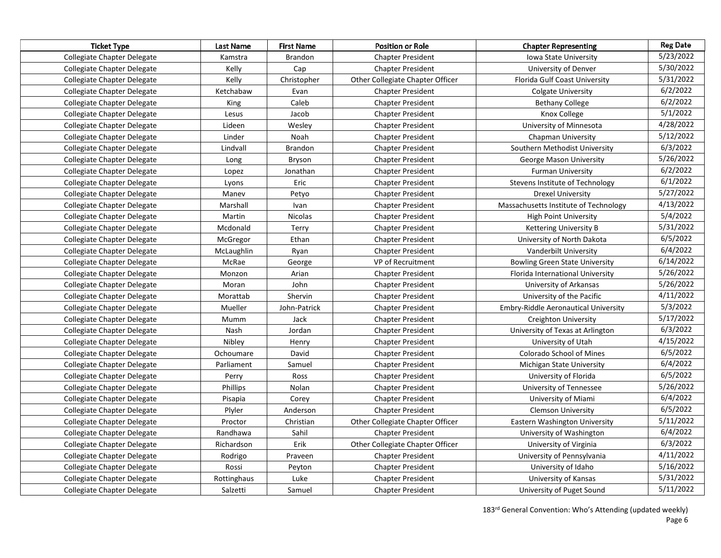| <b>Ticket Type</b>          | Last Name   | <b>First Name</b> | <b>Position or Role</b>          | <b>Chapter Representing</b>                 | <b>Reg Date</b> |
|-----------------------------|-------------|-------------------|----------------------------------|---------------------------------------------|-----------------|
| Collegiate Chapter Delegate | Kamstra     | <b>Brandon</b>    | <b>Chapter President</b>         | Iowa State University                       | 5/23/2022       |
| Collegiate Chapter Delegate | Kelly       | Cap               | <b>Chapter President</b>         | University of Denver                        | 5/30/2022       |
| Collegiate Chapter Delegate | Kelly       | Christopher       | Other Collegiate Chapter Officer | Florida Gulf Coast University               | 5/31/2022       |
| Collegiate Chapter Delegate | Ketchabaw   | Evan              | <b>Chapter President</b>         | <b>Colgate University</b>                   | 6/2/2022        |
| Collegiate Chapter Delegate | King        | Caleb             | <b>Chapter President</b>         | <b>Bethany College</b>                      | 6/2/2022        |
| Collegiate Chapter Delegate | Lesus       | Jacob             | <b>Chapter President</b>         | Knox College                                | 5/1/2022        |
| Collegiate Chapter Delegate | Lideen      | Wesley            | <b>Chapter President</b>         | University of Minnesota                     | 4/28/2022       |
| Collegiate Chapter Delegate | Linder      | Noah              | <b>Chapter President</b>         | Chapman University                          | 5/12/2022       |
| Collegiate Chapter Delegate | Lindvall    | <b>Brandon</b>    | <b>Chapter President</b>         | Southern Methodist University               | 6/3/2022        |
| Collegiate Chapter Delegate | Long        | Bryson            | <b>Chapter President</b>         | George Mason University                     | 5/26/2022       |
| Collegiate Chapter Delegate | Lopez       | Jonathan          | <b>Chapter President</b>         | <b>Furman University</b>                    | 6/2/2022        |
| Collegiate Chapter Delegate | Lyons       | Eric              | <b>Chapter President</b>         | Stevens Institute of Technology             | 6/1/2022        |
| Collegiate Chapter Delegate | Manev       | Petyo             | <b>Chapter President</b>         | <b>Drexel University</b>                    | 5/27/2022       |
| Collegiate Chapter Delegate | Marshall    | Ivan              | <b>Chapter President</b>         | Massachusetts Institute of Technology       | 4/13/2022       |
| Collegiate Chapter Delegate | Martin      | Nicolas           | <b>Chapter President</b>         | <b>High Point University</b>                | 5/4/2022        |
| Collegiate Chapter Delegate | Mcdonald    | Terry             | <b>Chapter President</b>         | Kettering University B                      | 5/31/2022       |
| Collegiate Chapter Delegate | McGregor    | Ethan             | <b>Chapter President</b>         | University of North Dakota                  | 6/5/2022        |
| Collegiate Chapter Delegate | McLaughlin  | Ryan              | <b>Chapter President</b>         | Vanderbilt University                       | 6/4/2022        |
| Collegiate Chapter Delegate | McRae       | George            | VP of Recruitment                | <b>Bowling Green State University</b>       | 6/14/2022       |
| Collegiate Chapter Delegate | Monzon      | Arian             | <b>Chapter President</b>         | Florida International University            | 5/26/2022       |
| Collegiate Chapter Delegate | Moran       | John              | <b>Chapter President</b>         | University of Arkansas                      | 5/26/2022       |
| Collegiate Chapter Delegate | Morattab    | Shervin           | <b>Chapter President</b>         | University of the Pacific                   | 4/11/2022       |
| Collegiate Chapter Delegate | Mueller     | John-Patrick      | <b>Chapter President</b>         | <b>Embry-Riddle Aeronautical University</b> | 5/3/2022        |
| Collegiate Chapter Delegate | Mumm        | Jack              | <b>Chapter President</b>         | <b>Creighton University</b>                 | 5/17/2022       |
| Collegiate Chapter Delegate | Nash        | Jordan            | <b>Chapter President</b>         | University of Texas at Arlington            | 6/3/2022        |
| Collegiate Chapter Delegate | Nibley      | Henry             | <b>Chapter President</b>         | University of Utah                          | 4/15/2022       |
| Collegiate Chapter Delegate | Ochoumare   | David             | <b>Chapter President</b>         | Colorado School of Mines                    | 6/5/2022        |
| Collegiate Chapter Delegate | Parliament  | Samuel            | <b>Chapter President</b>         | Michigan State University                   | 6/4/2022        |
| Collegiate Chapter Delegate | Perry       | Ross              | <b>Chapter President</b>         | University of Florida                       | 6/5/2022        |
| Collegiate Chapter Delegate | Phillips    | Nolan             | <b>Chapter President</b>         | University of Tennessee                     | 5/26/2022       |
| Collegiate Chapter Delegate | Pisapia     | Corey             | <b>Chapter President</b>         | University of Miami                         | 6/4/2022        |
| Collegiate Chapter Delegate | Plyler      | Anderson          | <b>Chapter President</b>         | <b>Clemson University</b>                   | 6/5/2022        |
| Collegiate Chapter Delegate | Proctor     | Christian         | Other Collegiate Chapter Officer | Eastern Washington University               | 5/11/2022       |
| Collegiate Chapter Delegate | Randhawa    | Sahil             | <b>Chapter President</b>         | University of Washington                    | 6/4/2022        |
| Collegiate Chapter Delegate | Richardson  | Erik              | Other Collegiate Chapter Officer | University of Virginia                      | 6/3/2022        |
| Collegiate Chapter Delegate | Rodrigo     | Praveen           | <b>Chapter President</b>         | University of Pennsylvania                  | 4/11/2022       |
| Collegiate Chapter Delegate | Rossi       | Peyton            | <b>Chapter President</b>         | University of Idaho                         | 5/16/2022       |
| Collegiate Chapter Delegate | Rottinghaus | Luke              | <b>Chapter President</b>         | University of Kansas                        | 5/31/2022       |
| Collegiate Chapter Delegate | Salzetti    | Samuel            | <b>Chapter President</b>         | University of Puget Sound                   | 5/11/2022       |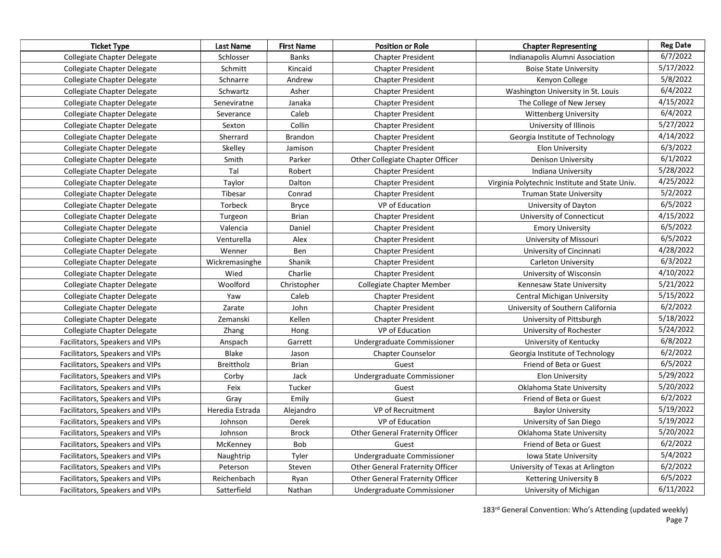| <b>Ticket Type</b>              | Last Name       | <b>First Name</b> | <b>Position or Role</b>          | <b>Chapter Representing</b>                    | <b>Reg Date</b> |
|---------------------------------|-----------------|-------------------|----------------------------------|------------------------------------------------|-----------------|
| Collegiate Chapter Delegate     | Schlosser       | <b>Banks</b>      | <b>Chapter President</b>         | Indianapolis Alumni Association                | 6/7/2022        |
| Collegiate Chapter Delegate     | Schmitt         | Kincaid           | <b>Chapter President</b>         | <b>Boise State University</b>                  | 5/17/2022       |
| Collegiate Chapter Delegate     | Schnarre        | Andrew            | <b>Chapter President</b>         | Kenyon College                                 | 5/8/2022        |
| Collegiate Chapter Delegate     | Schwartz        | Asher             | <b>Chapter President</b>         | Washington University in St. Louis             | 6/4/2022        |
| Collegiate Chapter Delegate     | Seneviratne     | Janaka            | <b>Chapter President</b>         | The College of New Jersey                      | 4/15/2022       |
| Collegiate Chapter Delegate     | Severance       | Caleb             | <b>Chapter President</b>         | <b>Wittenberg University</b>                   | 6/4/2022        |
| Collegiate Chapter Delegate     | Sexton          | Collin            | <b>Chapter President</b>         | University of Illinois                         | 5/27/2022       |
| Collegiate Chapter Delegate     | Sherrard        | Brandon           | <b>Chapter President</b>         | Georgia Institute of Technology                | 4/14/2022       |
| Collegiate Chapter Delegate     | Skelley         | Jamison           | <b>Chapter President</b>         | <b>Elon University</b>                         | 6/3/2022        |
| Collegiate Chapter Delegate     | Smith           | Parker            | Other Collegiate Chapter Officer | Denison University                             | 6/1/2022        |
| Collegiate Chapter Delegate     | Tal             | Robert            | <b>Chapter President</b>         | Indiana University                             | 5/28/2022       |
| Collegiate Chapter Delegate     | Taylor          | Dalton            | <b>Chapter President</b>         | Virginia Polytechnic Institute and State Univ. | 4/25/2022       |
| Collegiate Chapter Delegate     | Tibesar         | Conrad            | <b>Chapter President</b>         | <b>Truman State University</b>                 | 5/2/2022        |
| Collegiate Chapter Delegate     | Torbeck         | <b>Bryce</b>      | VP of Education                  | University of Dayton                           | 6/5/2022        |
| Collegiate Chapter Delegate     | Turgeon         | Brian             | <b>Chapter President</b>         | University of Connecticut                      | 4/15/2022       |
| Collegiate Chapter Delegate     | Valencia        | Daniel            | <b>Chapter President</b>         | <b>Emory University</b>                        | 6/5/2022        |
| Collegiate Chapter Delegate     | Venturella      | Alex              | <b>Chapter President</b>         | University of Missouri                         | 6/5/2022        |
| Collegiate Chapter Delegate     | Wenner          | Ben               | <b>Chapter President</b>         | University of Cincinnati                       | 4/28/2022       |
| Collegiate Chapter Delegate     | Wickremasinghe  | Shanik            | <b>Chapter President</b>         | <b>Carleton University</b>                     | 6/3/2022        |
| Collegiate Chapter Delegate     | Wied            | Charlie           | <b>Chapter President</b>         | University of Wisconsin                        | 4/10/2022       |
| Collegiate Chapter Delegate     | Woolford        | Christopher       | Collegiate Chapter Member        | Kennesaw State University                      | 5/21/2022       |
| Collegiate Chapter Delegate     | Yaw             | Caleb             | <b>Chapter President</b>         | Central Michigan University                    | 5/15/2022       |
| Collegiate Chapter Delegate     | Zarate          | John              | <b>Chapter President</b>         | University of Southern California              | 6/2/2022        |
| Collegiate Chapter Delegate     | Zemanski        | Kellen            | <b>Chapter President</b>         | University of Pittsburgh                       | 5/18/2022       |
| Collegiate Chapter Delegate     | Zhang           | Hong              | VP of Education                  | University of Rochester                        | 5/24/2022       |
| Facilitators, Speakers and VIPs | Anspach         | Garrett           | Undergraduate Commissioner       | University of Kentucky                         | 6/8/2022        |
| Facilitators, Speakers and VIPs | Blake           | Jason             | <b>Chapter Counselor</b>         | Georgia Institute of Technology                | 6/2/2022        |
| Facilitators, Speakers and VIPs | Breittholz      | <b>Brian</b>      | Guest                            | Friend of Beta or Guest                        | 6/5/2022        |
| Facilitators, Speakers and VIPs | Corby           | Jack              | Undergraduate Commissioner       | <b>Elon University</b>                         | 5/29/2022       |
| Facilitators, Speakers and VIPs | Feix            | Tucker            | Guest                            | Oklahoma State University                      | 5/20/2022       |
| Facilitators, Speakers and VIPs | Gray            | Emily             | Guest                            | Friend of Beta or Guest                        | 6/2/2022        |
| Facilitators, Speakers and VIPs | Heredia Estrada | Alejandro         | VP of Recruitment                | <b>Baylor University</b>                       | 5/19/2022       |
| Facilitators, Speakers and VIPs | Johnson         | Derek             | VP of Education                  | University of San Diego                        | 5/19/2022       |
| Facilitators, Speakers and VIPs | Johnson         | <b>Brock</b>      | Other General Fraternity Officer | Oklahoma State University                      | 5/20/2022       |
| Facilitators, Speakers and VIPs | McKenney        | Bob               | Guest                            | Friend of Beta or Guest                        | 6/2/2022        |
| Facilitators, Speakers and VIPs | Naughtrip       | Tyler             | Undergraduate Commissioner       | <b>Iowa State University</b>                   | 5/4/2022        |
| Facilitators, Speakers and VIPs | Peterson        | Steven            | Other General Fraternity Officer | University of Texas at Arlington               | 6/2/2022        |
| Facilitators, Speakers and VIPs | Reichenbach     | Ryan              | Other General Fraternity Officer | Kettering University B                         | 6/5/2022        |
| Facilitators, Speakers and VIPs | Satterfield     | Nathan            | Undergraduate Commissioner       | University of Michigan                         | 6/11/2022       |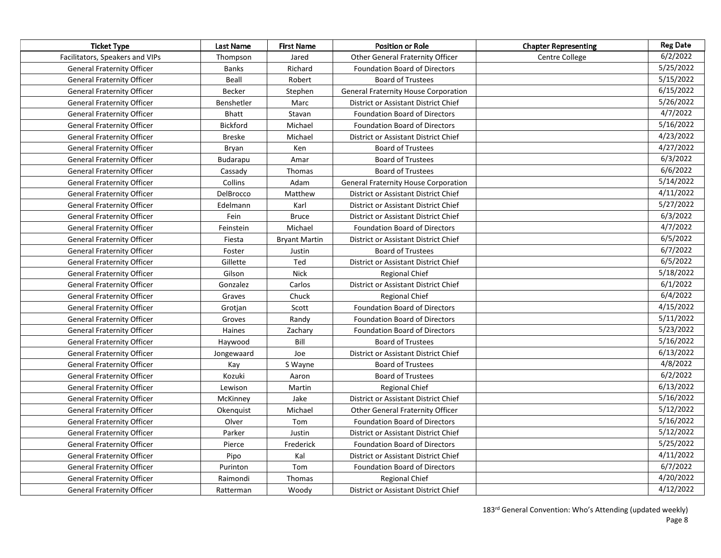| <b>Ticket Type</b>                | <b>Last Name</b> | <b>First Name</b>    | <b>Position or Role</b>                     | <b>Chapter Representing</b> | <b>Reg Date</b> |
|-----------------------------------|------------------|----------------------|---------------------------------------------|-----------------------------|-----------------|
| Facilitators, Speakers and VIPs   | Thompson         | Jared                | <b>Other General Fraternity Officer</b>     | Centre College              | 6/2/2022        |
| <b>General Fraternity Officer</b> | <b>Banks</b>     | Richard              | <b>Foundation Board of Directors</b>        |                             | 5/25/2022       |
| <b>General Fraternity Officer</b> | Beall            | Robert               | <b>Board of Trustees</b>                    |                             | 5/15/2022       |
| <b>General Fraternity Officer</b> | Becker           | Stephen              | <b>General Fraternity House Corporation</b> |                             | 6/15/2022       |
| <b>General Fraternity Officer</b> | Benshetler       | Marc                 | District or Assistant District Chief        |                             | 5/26/2022       |
| <b>General Fraternity Officer</b> | <b>Bhatt</b>     | Stavan               | <b>Foundation Board of Directors</b>        |                             | 4/7/2022        |
| <b>General Fraternity Officer</b> | <b>Bickford</b>  | Michael              | <b>Foundation Board of Directors</b>        |                             | 5/16/2022       |
| <b>General Fraternity Officer</b> | <b>Breske</b>    | Michael              | District or Assistant District Chief        |                             | 4/23/2022       |
| <b>General Fraternity Officer</b> | Bryan            | Ken                  | <b>Board of Trustees</b>                    |                             | 4/27/2022       |
| <b>General Fraternity Officer</b> | Budarapu         | Amar                 | <b>Board of Trustees</b>                    |                             | 6/3/2022        |
| <b>General Fraternity Officer</b> | Cassady          | <b>Thomas</b>        | <b>Board of Trustees</b>                    |                             | 6/6/2022        |
| <b>General Fraternity Officer</b> | Collins          | Adam                 | <b>General Fraternity House Corporation</b> |                             | 5/14/2022       |
| <b>General Fraternity Officer</b> | DelBrocco        | Matthew              | District or Assistant District Chief        |                             | 4/11/2022       |
| <b>General Fraternity Officer</b> | Edelmann         | Karl                 | District or Assistant District Chief        |                             | 5/27/2022       |
| General Fraternity Officer        | Fein             | <b>Bruce</b>         | District or Assistant District Chief        |                             | 6/3/2022        |
| <b>General Fraternity Officer</b> | Feinstein        | Michael              | <b>Foundation Board of Directors</b>        |                             | 4/7/2022        |
| <b>General Fraternity Officer</b> | Fiesta           | <b>Bryant Martin</b> | District or Assistant District Chief        |                             | 6/5/2022        |
| <b>General Fraternity Officer</b> | Foster           | Justin               | <b>Board of Trustees</b>                    |                             | 6/7/2022        |
| <b>General Fraternity Officer</b> | Gillette         | Ted                  | District or Assistant District Chief        |                             | 6/5/2022        |
| <b>General Fraternity Officer</b> | Gilson           | <b>Nick</b>          | <b>Regional Chief</b>                       |                             | 5/18/2022       |
| <b>General Fraternity Officer</b> | Gonzalez         | Carlos               | District or Assistant District Chief        |                             | 6/1/2022        |
| <b>General Fraternity Officer</b> | Graves           | Chuck                | <b>Regional Chief</b>                       |                             | 6/4/2022        |
| <b>General Fraternity Officer</b> | Grotjan          | Scott                | <b>Foundation Board of Directors</b>        |                             | 4/15/2022       |
| <b>General Fraternity Officer</b> | Groves           | Randy                | <b>Foundation Board of Directors</b>        |                             | 5/11/2022       |
| <b>General Fraternity Officer</b> | Haines           | Zachary              | <b>Foundation Board of Directors</b>        |                             | 5/23/2022       |
| <b>General Fraternity Officer</b> | Haywood          | Bill                 | <b>Board of Trustees</b>                    |                             | 5/16/2022       |
| <b>General Fraternity Officer</b> | Jongewaard       | Joe                  | District or Assistant District Chief        |                             | 6/13/2022       |
| <b>General Fraternity Officer</b> | Kay              | S Wayne              | <b>Board of Trustees</b>                    |                             | 4/8/2022        |
| <b>General Fraternity Officer</b> | Kozuki           | Aaron                | <b>Board of Trustees</b>                    |                             | 6/2/2022        |
| <b>General Fraternity Officer</b> | Lewison          | Martin               | <b>Regional Chief</b>                       |                             | 6/13/2022       |
| <b>General Fraternity Officer</b> | McKinney         | Jake                 | District or Assistant District Chief        |                             | 5/16/2022       |
| <b>General Fraternity Officer</b> | Okenquist        | Michael              | <b>Other General Fraternity Officer</b>     |                             | 5/12/2022       |
| <b>General Fraternity Officer</b> | Olver            | Tom                  | <b>Foundation Board of Directors</b>        |                             | 5/16/2022       |
| <b>General Fraternity Officer</b> | Parker           | Justin               | District or Assistant District Chief        |                             | 5/12/2022       |
| <b>General Fraternity Officer</b> | Pierce           | Frederick            | <b>Foundation Board of Directors</b>        |                             | 5/25/2022       |
| <b>General Fraternity Officer</b> | Pipo             | Kal                  | District or Assistant District Chief        |                             | 4/11/2022       |
| <b>General Fraternity Officer</b> | Purinton         | Tom                  | <b>Foundation Board of Directors</b>        |                             | 6/7/2022        |
| <b>General Fraternity Officer</b> | Raimondi         | Thomas               | <b>Regional Chief</b>                       |                             | 4/20/2022       |
| <b>General Fraternity Officer</b> | Ratterman        | Woody                | District or Assistant District Chief        |                             | 4/12/2022       |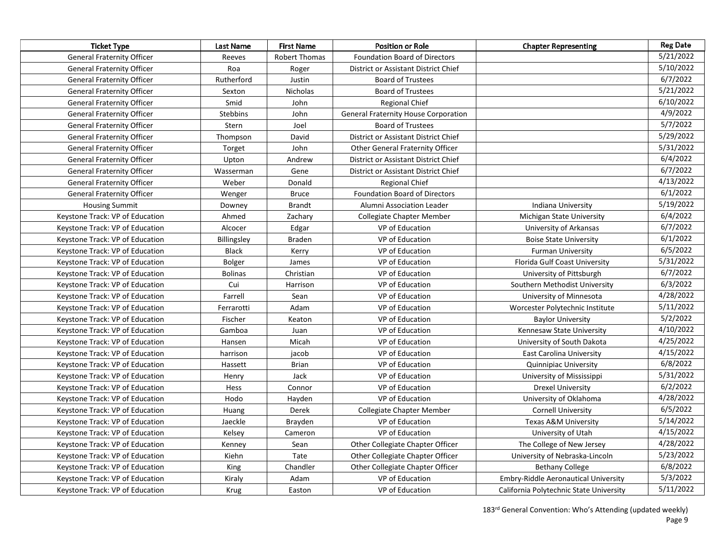| <b>Ticket Type</b>                | Last Name          | <b>First Name</b> | <b>Position or Role</b>                     | <b>Chapter Representing</b>                 | <b>Reg Date</b> |
|-----------------------------------|--------------------|-------------------|---------------------------------------------|---------------------------------------------|-----------------|
| <b>General Fraternity Officer</b> | Reeves             | Robert Thomas     | <b>Foundation Board of Directors</b>        |                                             | 5/21/2022       |
| <b>General Fraternity Officer</b> | Roa                | Roger             | District or Assistant District Chief        |                                             | 5/10/2022       |
| <b>General Fraternity Officer</b> | Rutherford         | Justin            | <b>Board of Trustees</b>                    |                                             | 6/7/2022        |
| <b>General Fraternity Officer</b> | Sexton             | Nicholas          | <b>Board of Trustees</b>                    |                                             | 5/21/2022       |
| <b>General Fraternity Officer</b> | Smid               | John              | <b>Regional Chief</b>                       |                                             | 6/10/2022       |
| <b>General Fraternity Officer</b> | <b>Stebbins</b>    | John              | <b>General Fraternity House Corporation</b> |                                             | 4/9/2022        |
| <b>General Fraternity Officer</b> | Stern              | Joel              | <b>Board of Trustees</b>                    |                                             | 5/7/2022        |
| <b>General Fraternity Officer</b> | Thompson           | David             | District or Assistant District Chief        |                                             | 5/29/2022       |
| <b>General Fraternity Officer</b> | Torget             | John              | Other General Fraternity Officer            |                                             | 5/31/2022       |
| <b>General Fraternity Officer</b> | Upton              | Andrew            | District or Assistant District Chief        |                                             | 6/4/2022        |
| <b>General Fraternity Officer</b> | Wasserman          | Gene              | District or Assistant District Chief        |                                             | 6/7/2022        |
| <b>General Fraternity Officer</b> | Weber              | Donald            | <b>Regional Chief</b>                       |                                             | 4/13/2022       |
| <b>General Fraternity Officer</b> | Wenger             | <b>Bruce</b>      | <b>Foundation Board of Directors</b>        |                                             | 6/1/2022        |
| <b>Housing Summit</b>             | Downey             | <b>Brandt</b>     | Alumni Association Leader                   | Indiana University                          | 5/19/2022       |
| Keystone Track: VP of Education   | Ahmed              | Zachary           | <b>Collegiate Chapter Member</b>            | Michigan State University                   | 6/4/2022        |
| Keystone Track: VP of Education   | Alcocer            | Edgar             | VP of Education                             | University of Arkansas                      | 6/7/2022        |
| Keystone Track: VP of Education   | <b>Billingsley</b> | <b>Braden</b>     | VP of Education                             | <b>Boise State University</b>               | 6/1/2022        |
| Keystone Track: VP of Education   | <b>Black</b>       | Kerry             | VP of Education                             | <b>Furman University</b>                    | 6/5/2022        |
| Keystone Track: VP of Education   | <b>Bolger</b>      | James             | VP of Education                             | Florida Gulf Coast University               | 5/31/2022       |
| Keystone Track: VP of Education   | <b>Bolinas</b>     | Christian         | VP of Education                             | University of Pittsburgh                    | 6/7/2022        |
| Keystone Track: VP of Education   | Cui                | Harrison          | VP of Education                             | Southern Methodist University               | 6/3/2022        |
| Keystone Track: VP of Education   | Farrell            | Sean              | VP of Education                             | University of Minnesota                     | 4/28/2022       |
| Keystone Track: VP of Education   | Ferrarotti         | Adam              | VP of Education                             | Worcester Polytechnic Institute             | 5/11/2022       |
| Keystone Track: VP of Education   | Fischer            | Keaton            | VP of Education                             | <b>Baylor University</b>                    | 5/2/2022        |
| Keystone Track: VP of Education   | Gamboa             | Juan              | VP of Education                             | Kennesaw State University                   | 4/10/2022       |
| Keystone Track: VP of Education   | Hansen             | Micah             | VP of Education                             | University of South Dakota                  | 4/25/2022       |
| Keystone Track: VP of Education   | harrison           | jacob             | VP of Education                             | <b>East Carolina University</b>             | 4/15/2022       |
| Keystone Track: VP of Education   | Hassett            | <b>Brian</b>      | VP of Education                             | <b>Quinnipiac University</b>                | 6/8/2022        |
| Keystone Track: VP of Education   | Henry              | Jack              | VP of Education                             | University of Mississippi                   | 5/31/2022       |
| Keystone Track: VP of Education   | Hess               | Connor            | VP of Education                             | <b>Drexel University</b>                    | 6/2/2022        |
| Keystone Track: VP of Education   | Hodo               | Hayden            | VP of Education                             | University of Oklahoma                      | 4/28/2022       |
| Keystone Track: VP of Education   | Huang              | Derek             | <b>Collegiate Chapter Member</b>            | <b>Cornell University</b>                   | 6/5/2022        |
| Keystone Track: VP of Education   | Jaeckle            | Brayden           | VP of Education                             | <b>Texas A&amp;M University</b>             | 5/14/2022       |
| Keystone Track: VP of Education   | Kelsey             | Cameron           | VP of Education                             | University of Utah                          | 4/15/2022       |
| Keystone Track: VP of Education   | Kenney             | Sean              | Other Collegiate Chapter Officer            | The College of New Jersey                   | 4/28/2022       |
| Keystone Track: VP of Education   | Kiehn              | Tate              | Other Collegiate Chapter Officer            | University of Nebraska-Lincoln              | 5/23/2022       |
| Keystone Track: VP of Education   | King               | Chandler          | Other Collegiate Chapter Officer            | <b>Bethany College</b>                      | 6/8/2022        |
| Keystone Track: VP of Education   | Kiraly             | Adam              | VP of Education                             | <b>Embry-Riddle Aeronautical University</b> | 5/3/2022        |
| Keystone Track: VP of Education   | <b>Krug</b>        | Easton            | VP of Education                             | California Polytechnic State University     | 5/11/2022       |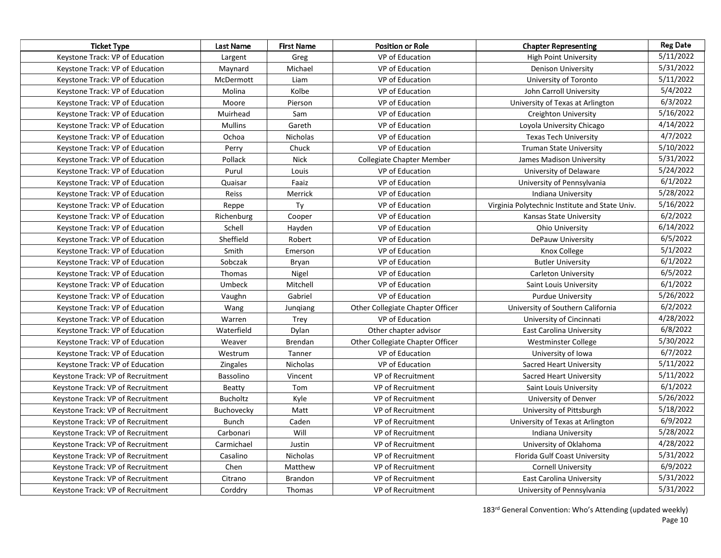| <b>Ticket Type</b>                | Last Name         | <b>First Name</b> | <b>Position or Role</b>          | <b>Chapter Representing</b>                    | <b>Reg Date</b> |
|-----------------------------------|-------------------|-------------------|----------------------------------|------------------------------------------------|-----------------|
| Keystone Track: VP of Education   | Largent           | Greg              | VP of Education                  | <b>High Point University</b>                   | 5/11/2022       |
| Keystone Track: VP of Education   | Maynard           | Michael           | VP of Education                  | <b>Denison University</b>                      | 5/31/2022       |
| Keystone Track: VP of Education   | McDermott         | Liam              | VP of Education                  | University of Toronto                          | 5/11/2022       |
| Keystone Track: VP of Education   | Molina            | Kolbe             | VP of Education                  | John Carroll University                        | 5/4/2022        |
| Keystone Track: VP of Education   | Moore             | Pierson           | VP of Education                  | University of Texas at Arlington               | 6/3/2022        |
| Keystone Track: VP of Education   | Muirhead          | Sam               | VP of Education                  | <b>Creighton University</b>                    | 5/16/2022       |
| Keystone Track: VP of Education   | <b>Mullins</b>    | Gareth            | VP of Education                  | Loyola University Chicago                      | 4/14/2022       |
| Keystone Track: VP of Education   | Ochoa             | <b>Nicholas</b>   | VP of Education                  | <b>Texas Tech University</b>                   | 4/7/2022        |
| Keystone Track: VP of Education   | Perry             | Chuck             | VP of Education                  | <b>Truman State University</b>                 | 5/10/2022       |
| Keystone Track: VP of Education   | Pollack           | Nick              | Collegiate Chapter Member        | James Madison University                       | 5/31/2022       |
| Keystone Track: VP of Education   | Purul             | Louis             | VP of Education                  | University of Delaware                         | 5/24/2022       |
| Keystone Track: VP of Education   | Quaisar           | Faaiz             | VP of Education                  | University of Pennsylvania                     | 6/1/2022        |
| Keystone Track: VP of Education   | Reiss             | Merrick           | VP of Education                  | Indiana University                             | 5/28/2022       |
| Keystone Track: VP of Education   | Reppe             | Ty                | VP of Education                  | Virginia Polytechnic Institute and State Univ. | 5/16/2022       |
| Keystone Track: VP of Education   | Richenburg        | Cooper            | VP of Education                  | Kansas State University                        | 6/2/2022        |
| Keystone Track: VP of Education   | Schell            | Hayden            | VP of Education                  | <b>Ohio University</b>                         | 6/14/2022       |
| Keystone Track: VP of Education   | Sheffield         | Robert            | VP of Education                  | DePauw University                              | 6/5/2022        |
| Keystone Track: VP of Education   | Smith             | Emerson           | VP of Education                  | Knox College                                   | 5/1/2022        |
| Keystone Track: VP of Education   | Sobczak           | Bryan             | VP of Education                  | <b>Butler University</b>                       | 6/1/2022        |
| Keystone Track: VP of Education   | Thomas            | Nigel             | VP of Education                  | <b>Carleton University</b>                     | 6/5/2022        |
| Keystone Track: VP of Education   | Umbeck            | Mitchell          | VP of Education                  | Saint Louis University                         | 6/1/2022        |
| Keystone Track: VP of Education   | Vaughn            | Gabriel           | VP of Education                  | <b>Purdue University</b>                       | 5/26/2022       |
| Keystone Track: VP of Education   | Wang              | Jungiang          | Other Collegiate Chapter Officer | University of Southern California              | 6/2/2022        |
| Keystone Track: VP of Education   | Warren            | Trey              | VP of Education                  | University of Cincinnati                       | 4/28/2022       |
| Keystone Track: VP of Education   | Waterfield        | Dylan             | Other chapter advisor            | East Carolina University                       | 6/8/2022        |
| Keystone Track: VP of Education   | Weaver            | Brendan           | Other Collegiate Chapter Officer | Westminster College                            | 5/30/2022       |
| Keystone Track: VP of Education   | Westrum           | Tanner            | VP of Education                  | University of Iowa                             | 6/7/2022        |
| Keystone Track: VP of Education   | Zingales          | Nicholas          | VP of Education                  | Sacred Heart University                        | 5/11/2022       |
| Keystone Track: VP of Recruitment | Bassolino         | Vincent           | VP of Recruitment                | Sacred Heart University                        | 5/11/2022       |
| Keystone Track: VP of Recruitment | Beatty            | Tom               | VP of Recruitment                | Saint Louis University                         | 6/1/2022        |
| Keystone Track: VP of Recruitment | Bucholtz          | Kyle              | VP of Recruitment                | University of Denver                           | 5/26/2022       |
| Keystone Track: VP of Recruitment | <b>Buchovecky</b> | Matt              | VP of Recruitment                | University of Pittsburgh                       | 5/18/2022       |
| Keystone Track: VP of Recruitment | <b>Bunch</b>      | Caden             | VP of Recruitment                | University of Texas at Arlington               | 6/9/2022        |
| Keystone Track: VP of Recruitment | Carbonari         | Will              | VP of Recruitment                | Indiana University                             | 5/28/2022       |
| Keystone Track: VP of Recruitment | Carmichael        | Justin            | VP of Recruitment                | University of Oklahoma                         | 4/28/2022       |
| Keystone Track: VP of Recruitment | Casalino          | Nicholas          | VP of Recruitment                | Florida Gulf Coast University                  | 5/31/2022       |
| Keystone Track: VP of Recruitment | Chen              | Matthew           | VP of Recruitment                | <b>Cornell University</b>                      | 6/9/2022        |
| Keystone Track: VP of Recruitment | Citrano           | Brandon           | VP of Recruitment                | East Carolina University                       | 5/31/2022       |
| Keystone Track: VP of Recruitment | Corddry           | Thomas            | VP of Recruitment                | University of Pennsylvania                     | 5/31/2022       |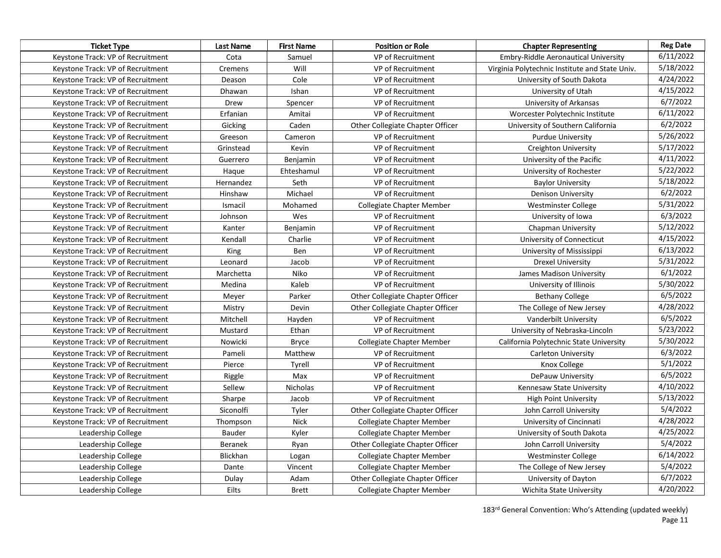| <b>Ticket Type</b>                | Last Name      | <b>First Name</b> | <b>Position or Role</b>          | <b>Chapter Representing</b>                    | <b>Reg Date</b> |
|-----------------------------------|----------------|-------------------|----------------------------------|------------------------------------------------|-----------------|
| Keystone Track: VP of Recruitment | Cota           | Samuel            | VP of Recruitment                | <b>Embry-Riddle Aeronautical University</b>    | 6/11/2022       |
| Keystone Track: VP of Recruitment | Cremens        | Will              | VP of Recruitment                | Virginia Polytechnic Institute and State Univ. | 5/18/2022       |
| Keystone Track: VP of Recruitment | Deason         | Cole              | VP of Recruitment                | University of South Dakota                     | 4/24/2022       |
| Keystone Track: VP of Recruitment | Dhawan         | Ishan             | VP of Recruitment                | University of Utah                             | 4/15/2022       |
| Keystone Track: VP of Recruitment | Drew           | Spencer           | VP of Recruitment                | University of Arkansas                         | 6/7/2022        |
| Keystone Track: VP of Recruitment | Erfanian       | Amitai            | VP of Recruitment                | Worcester Polytechnic Institute                | 6/11/2022       |
| Keystone Track: VP of Recruitment | Gicking        | Caden             | Other Collegiate Chapter Officer | University of Southern California              | 6/2/2022        |
| Keystone Track: VP of Recruitment | Greeson        | Cameron           | VP of Recruitment                | <b>Purdue University</b>                       | 5/26/2022       |
| Keystone Track: VP of Recruitment | Grinstead      | Kevin             | VP of Recruitment                | Creighton University                           | 5/17/2022       |
| Keystone Track: VP of Recruitment | Guerrero       | Benjamin          | VP of Recruitment                | University of the Pacific                      | 4/11/2022       |
| Keystone Track: VP of Recruitment | Haque          | Ehteshamul        | VP of Recruitment                | University of Rochester                        | 5/22/2022       |
| Keystone Track: VP of Recruitment | Hernandez      | Seth              | VP of Recruitment                | <b>Baylor University</b>                       | 5/18/2022       |
| Keystone Track: VP of Recruitment | Hinshaw        | Michael           | VP of Recruitment                | <b>Denison University</b>                      | 6/2/2022        |
| Keystone Track: VP of Recruitment | Ismacil        | Mohamed           | Collegiate Chapter Member        | Westminster College                            | 5/31/2022       |
| Keystone Track: VP of Recruitment | Johnson        | Wes               | VP of Recruitment                | University of Iowa                             | 6/3/2022        |
| Keystone Track: VP of Recruitment | Kanter         | Benjamin          | VP of Recruitment                | Chapman University                             | 5/12/2022       |
| Keystone Track: VP of Recruitment | Kendall        | Charlie           | VP of Recruitment                | University of Connecticut                      | 4/15/2022       |
| Keystone Track: VP of Recruitment | King           | Ben               | VP of Recruitment                | University of Mississippi                      | 6/13/2022       |
| Keystone Track: VP of Recruitment | Leonard        | Jacob             | VP of Recruitment                | <b>Drexel University</b>                       | 5/31/2022       |
| Keystone Track: VP of Recruitment | Marchetta      | Niko              | VP of Recruitment                | James Madison University                       | 6/1/2022        |
| Keystone Track: VP of Recruitment | Medina         | Kaleb             | VP of Recruitment                | University of Illinois                         | 5/30/2022       |
| Keystone Track: VP of Recruitment | Meyer          | Parker            | Other Collegiate Chapter Officer | <b>Bethany College</b>                         | 6/5/2022        |
| Keystone Track: VP of Recruitment | Mistry         | Devin             | Other Collegiate Chapter Officer | The College of New Jersey                      | 4/28/2022       |
| Keystone Track: VP of Recruitment | Mitchell       | Hayden            | VP of Recruitment                | Vanderbilt University                          | 6/5/2022        |
| Keystone Track: VP of Recruitment | Mustard        | Ethan             | VP of Recruitment                | University of Nebraska-Lincoln                 | 5/23/2022       |
| Keystone Track: VP of Recruitment | Nowicki        | <b>Bryce</b>      | Collegiate Chapter Member        | California Polytechnic State University        | 5/30/2022       |
| Keystone Track: VP of Recruitment | Pameli         | Matthew           | VP of Recruitment                | <b>Carleton University</b>                     | 6/3/2022        |
| Keystone Track: VP of Recruitment | Pierce         | Tyrell            | VP of Recruitment                | Knox College                                   | 5/1/2022        |
| Keystone Track: VP of Recruitment | Riggle         | Max               | VP of Recruitment                | DePauw University                              | 6/5/2022        |
| Keystone Track: VP of Recruitment | Sellew         | Nicholas          | VP of Recruitment                | Kennesaw State University                      | 4/10/2022       |
| Keystone Track: VP of Recruitment | Sharpe         | Jacob             | VP of Recruitment                | <b>High Point University</b>                   | 5/13/2022       |
| Keystone Track: VP of Recruitment | Siconolfi      | Tyler             | Other Collegiate Chapter Officer | John Carroll University                        | 5/4/2022        |
| Keystone Track: VP of Recruitment | Thompson       | <b>Nick</b>       | Collegiate Chapter Member        | University of Cincinnati                       | 4/28/2022       |
| Leadership College                | Bauder         | Kyler             | Collegiate Chapter Member        | University of South Dakota                     | 4/25/2022       |
| Leadership College                | <b>Beranek</b> | Ryan              | Other Collegiate Chapter Officer | John Carroll University                        | 5/4/2022        |
| Leadership College                | Blickhan       | Logan             | Collegiate Chapter Member        | Westminster College                            | 6/14/2022       |
| Leadership College                | Dante          | Vincent           | <b>Collegiate Chapter Member</b> | The College of New Jersey                      | 5/4/2022        |
| Leadership College                | Dulay          | Adam              | Other Collegiate Chapter Officer | University of Dayton                           | 6/7/2022        |
| Leadership College                | Eilts          | Brett             | <b>Collegiate Chapter Member</b> | Wichita State University                       | 4/20/2022       |